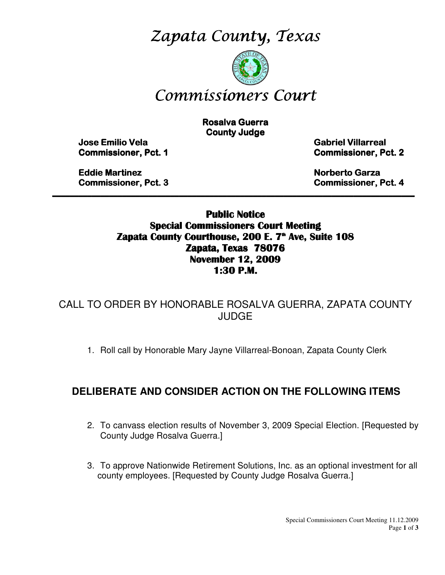Zapata County, Texas



# Commissioners Court

**Rosalva Guerra County Judge** 

Jose Emilio Vela Emilio Vela Vela Gabriel Villarreal Villarreal Villarreal

**Commissioner, Pct. 1 Commissioner, Pct. 2** 

**Eddie Martinez Norberto Garza Garza Garza Garza Garza Garza Garza Garza Garza Garza Garza Garza Garza Garza Garza Garza Garza Garza Garza Garza Garza Garza Garza Garza Garza Garza Garza Garza Garza Garza Garza Garza Garza** Commissioner, Pct. 3 3 Commissioner, Pct. 4

Public Notice Special Commissioners Court Meeting Zapata County Courthouse, 200 E. 7<sup>th</sup> Ave, Suite 108 Zapata, Texas 78076 November 12, 2009 1:30 P.M.

\_\_\_\_\_\_\_\_\_\_\_\_\_\_\_\_\_\_\_\_\_\_\_\_\_\_\_\_\_\_\_\_\_\_\_\_\_\_\_\_\_\_\_\_\_\_\_\_\_\_\_\_\_\_\_\_\_\_\_\_\_\_\_\_\_\_\_\_\_\_\_\_\_\_\_\_\_\_\_\_\_\_\_

CALL TO ORDER BY HONORABLE ROSALVA GUERRA, ZAPATA COUNTY JUDGE

1. Roll call by Honorable Mary Jayne Villarreal-Bonoan, Zapata County Clerk

### **DELIBERATE AND CONSIDER ACTION ON THE FOLLOWING ITEMS**

- 2. To canvass election results of November 3, 2009 Special Election. [Requested by County Judge Rosalva Guerra.]
- 3. To approve Nationwide Retirement Solutions, Inc. as an optional investment for all county employees. [Requested by County Judge Rosalva Guerra.]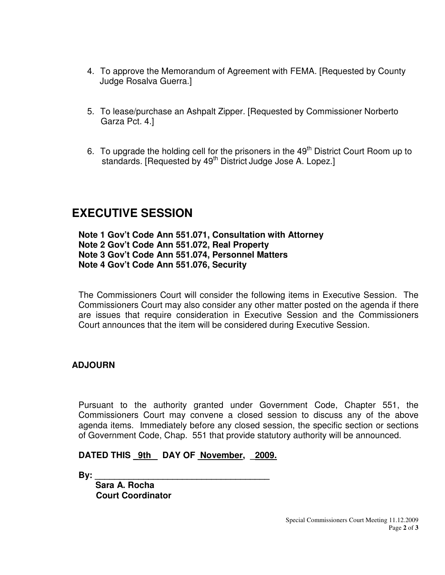- 4. To approve the Memorandum of Agreement with FEMA. [Requested by County Judge Rosalva Guerra.]
- 5. To lease/purchase an Ashpalt Zipper. [Requested by Commissioner Norberto Garza Pct. 4.]
- 6. To upgrade the holding cell for the prisoners in the 49<sup>th</sup> District Court Room up to standards. [Requested by 49<sup>th</sup> District Judge Jose A. Lopez.]

# **EXECUTIVE SESSION**

**Note 1 Gov't Code Ann 551.071, Consultation with Attorney Note 2 Gov't Code Ann 551.072, Real Property Note 3 Gov't Code Ann 551.074, Personnel Matters Note 4 Gov't Code Ann 551.076, Security** 

The Commissioners Court will consider the following items in Executive Session. The Commissioners Court may also consider any other matter posted on the agenda if there are issues that require consideration in Executive Session and the Commissioners Court announces that the item will be considered during Executive Session.

#### **ADJOURN**

Pursuant to the authority granted under Government Code, Chapter 551, the Commissioners Court may convene a closed session to discuss any of the above agenda items. Immediately before any closed session, the specific section or sections of Government Code, Chap. 551 that provide statutory authority will be announced.

#### DATED THIS 9th DAY OF November, 2009.

**By: \_\_\_\_\_\_\_\_\_\_\_\_\_\_\_\_\_\_\_\_\_\_\_\_\_\_\_\_\_\_\_\_\_\_\_\_** 

 **Sara A. Rocha Court Coordinator**